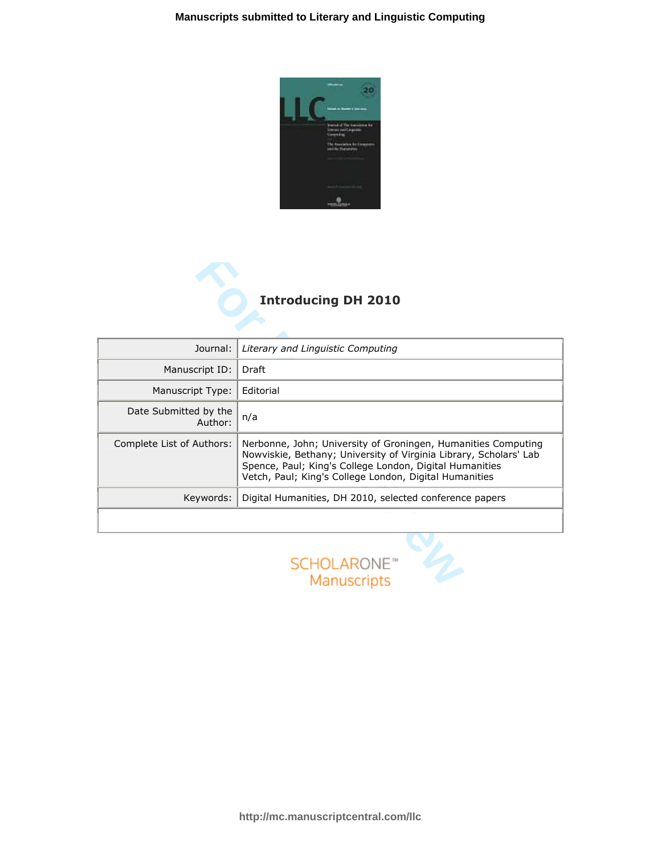

## Introducing DH 2010

| Journal:                         | Literary and Linguistic Computing                                                                                                                                                                                                                       |
|----------------------------------|---------------------------------------------------------------------------------------------------------------------------------------------------------------------------------------------------------------------------------------------------------|
| Manuscript ID:                   | Draft                                                                                                                                                                                                                                                   |
| Manuscript Type:                 | Editorial                                                                                                                                                                                                                                               |
| Date Submitted by the<br>Author: | n/a                                                                                                                                                                                                                                                     |
| Complete List of Authors:        | Nerbonne, John; University of Groningen, Humanities Computing<br>Nowviskie, Bethany; University of Virginia Library, Scholars' Lab<br>Spence, Paul; King's College London, Digital Humanities<br>Vetch, Paul; King's College London, Digital Humanities |
| Keywords:                        | Digital Humanities, DH 2010, selected conference papers                                                                                                                                                                                                 |
|                                  |                                                                                                                                                                                                                                                         |

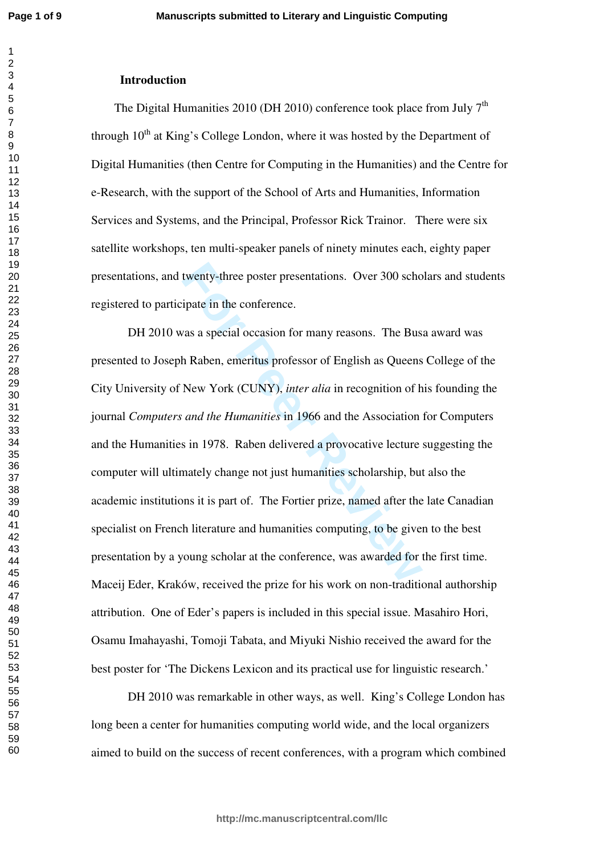$\overline{1}$  $\overline{2}$  $\overline{3}$  $\overline{4}$  $\overline{7}$ 

## **Introduction**

The Digital Humanities 2010 (DH 2010) conference took place from July  $7<sup>th</sup>$ through  $10<sup>th</sup>$  at King's College London, where it was hosted by the Department of Digital Humanities (then Centre for Computing in the Humanities) and the Centre for e-Research, with the support of the School of Arts and Humanities, Information Services and Systems, and the Principal, Professor Rick Trainor. There were six satellite workshops, ten multi-speaker panels of ninety minutes each, eighty paper presentations, and twenty-three poster presentations. Over 300 scholars and students registered to participate in the conference.

twenty-three poster presentations. Over 300 schopate in the conference.<br>
For a special occasion for many reasons. The Bus<br>
In Raben, emeritus professor of English as Queens<br>
New York (CUNY), *inter alia* in recognition of DH 2010 was a special occasion for many reasons. The Busa award was presented to Joseph Raben, emeritus professor of English as Queens College of the City University of New York (CUNY), *inter alia* in recognition of his founding the journal *Computers and the Humanities* in 1966 and the Association for Computers and the Humanities in 1978. Raben delivered a provocative lecture suggesting the computer will ultimately change not just humanities scholarship, but also the academic institutions it is part of. The Fortier prize, named after the late Canadian specialist on French literature and humanities computing, to be given to the best presentation by a young scholar at the conference, was awarded for the first time. Maceij Eder, Kraków, received the prize for his work on non-traditional authorship attribution. One of Eder's papers is included in this special issue. Masahiro Hori, Osamu Imahayashi, Tomoji Tabata, and Miyuki Nishio received the award for the best poster for 'The Dickens Lexicon and its practical use for linguistic research.'

DH 2010 was remarkable in other ways, as well. King's College London has long been a center for humanities computing world wide, and the local organizers aimed to build on the success of recent conferences, with a program which combined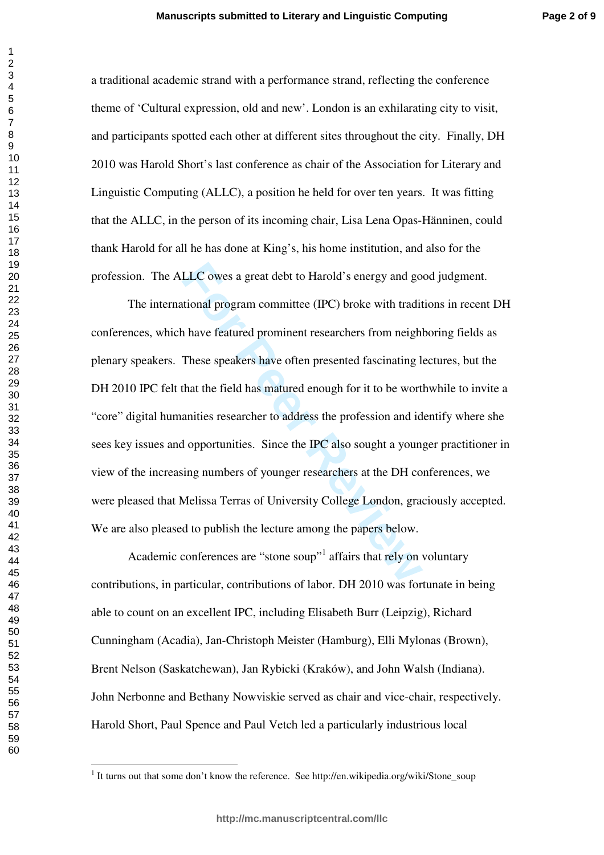**Page 2 of 9**

a traditional academic strand with a performance strand, reflecting the conference theme of 'Cultural expression, old and new'. London is an exhilarating city to visit, and participants spotted each other at different sites throughout the city. Finally, DH 2010 was Harold Short's last conference as chair of the Association for Literary and Linguistic Computing (ALLC), a position he held for over ten years. It was fitting that the ALLC, in the person of its incoming chair, Lisa Lena Opas-Hänninen, could thank Harold for all he has done at King's, his home institution, and also for the profession. The ALLC owes a great debt to Harold's energy and good judgment.

LLC owes a great debt to Harold's energy and go<br>tional program committee (IPC) broke with tradit<br>a have featured prominent researchers from neigh<br>These speakers have often presented fascinating I<br>that the field has matured The international program committee (IPC) broke with traditions in recent DH conferences, which have featured prominent researchers from neighboring fields as plenary speakers. These speakers have often presented fascinating lectures, but the DH 2010 IPC felt that the field has matured enough for it to be worthwhile to invite a "core" digital humanities researcher to address the profession and identify where she sees key issues and opportunities. Since the IPC also sought a younger practitioner in view of the increasing numbers of younger researchers at the DH conferences, we were pleased that Melissa Terras of University College London, graciously accepted. We are also pleased to publish the lecture among the papers below.

Academic conferences are "stone soup"<sup>1</sup> affairs that rely on voluntary contributions, in particular, contributions of labor. DH 2010 was fortunate in being able to count on an excellent IPC, including Elisabeth Burr (Leipzig), Richard Cunningham (Acadia), Jan-Christoph Meister (Hamburg), Elli Mylonas (Brown), Brent Nelson (Saskatchewan), Jan Rybicki (Kraków), and John Walsh (Indiana). John Nerbonne and Bethany Nowviskie served as chair and vice-chair, respectively. Harold Short, Paul Spence and Paul Vetch led a particularly industrious local

<sup>|&</sup>lt;br>|<br>| <sup>1</sup> It turns out that some don't know the reference. See http://en.wikipedia.org/wiki/Stone\_soup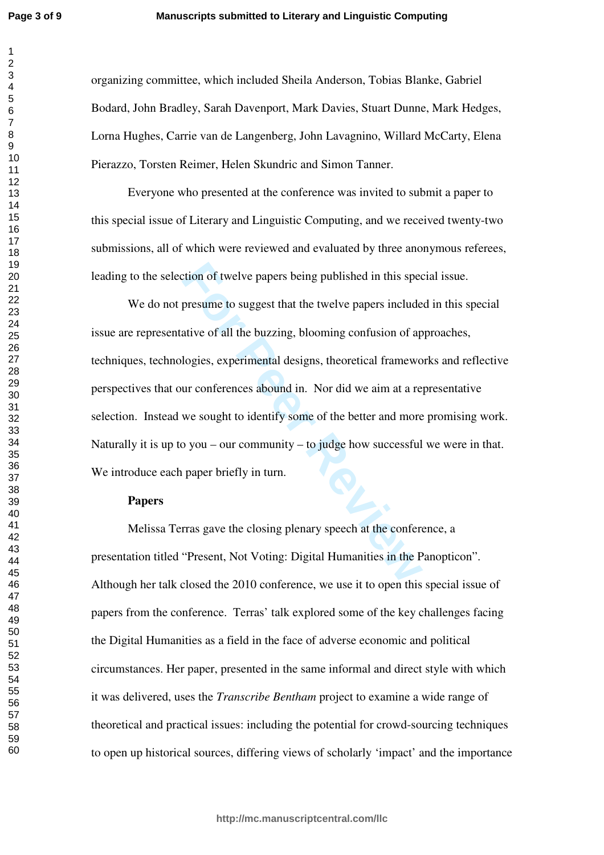$\overline{1}$  $\overline{2}$  $\overline{3}$  $\overline{4}$  $\overline{7}$ 

organizing committee, which included Sheila Anderson, Tobias Blanke, Gabriel Bodard, John Bradley, Sarah Davenport, Mark Davies, Stuart Dunne, Mark Hedges, Lorna Hughes, Carrie van de Langenberg, John Lavagnino, Willard McCarty, Elena Pierazzo, Torsten Reimer, Helen Skundric and Simon Tanner.

Everyone who presented at the conference was invited to submit a paper to this special issue of Literary and Linguistic Computing, and we received twenty-two submissions, all of which were reviewed and evaluated by three anonymous referees, leading to the selection of twelve papers being published in this special issue.

tion of twelve papers being published in this spectors are presume to suggest that the twelve papers include ative of all the buzzing, blooming confusion of aplogies, experimental designs, theoretical frameword ur conferen We do not presume to suggest that the twelve papers included in this special issue are representative of all the buzzing, blooming confusion of approaches, techniques, technologies, experimental designs, theoretical frameworks and reflective perspectives that our conferences abound in. Nor did we aim at a representative selection. Instead we sought to identify some of the better and more promising work. Naturally it is up to you – our community – to judge how successful we were in that. We introduce each paper briefly in turn.

## **Papers**

Melissa Terras gave the closing plenary speech at the conference, a presentation titled "Present, Not Voting: Digital Humanities in the Panopticon". Although her talk closed the 2010 conference, we use it to open this special issue of papers from the conference. Terras' talk explored some of the key challenges facing the Digital Humanities as a field in the face of adverse economic and political circumstances. Her paper, presented in the same informal and direct style with which it was delivered, uses the *Transcribe Bentham* project to examine a wide range of theoretical and practical issues: including the potential for crowd-sourcing techniques to open up historical sources, differing views of scholarly 'impact' and the importance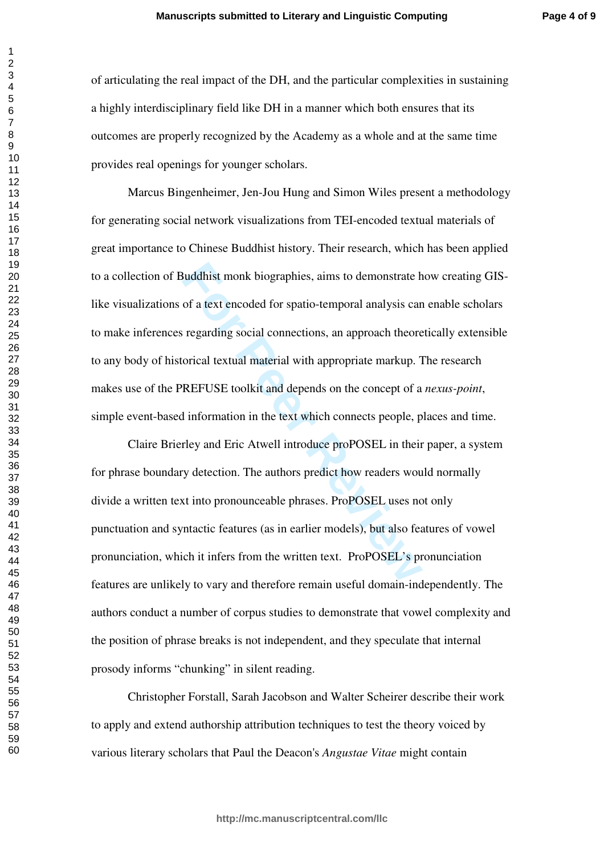of articulating the real impact of the DH, and the particular complexities in sustaining a highly interdisciplinary field like DH in a manner which both ensures that its outcomes are properly recognized by the Academy as a whole and at the same time provides real openings for younger scholars.

**Example 18 Alternative State State State State State State State State State State State State State State State State State State State State State State State State State State State State State State State State State** Marcus Bingenheimer, Jen-Jou Hung and Simon Wiles present a methodology for generating social network visualizations from TEI-encoded textual materials of great importance to Chinese Buddhist history. Their research, which has been applied to a collection of Buddhist monk biographies, aims to demonstrate how creating GISlike visualizations of a text encoded for spatio-temporal analysis can enable scholars to make inferences regarding social connections, an approach theoretically extensible to any body of historical textual material with appropriate markup. The research makes use of the PREFUSE toolkit and depends on the concept of a *nexus-point*, simple event-based information in the text which connects people, places and time.

Claire Brierley and Eric Atwell introduce proPOSEL in their paper, a system for phrase boundary detection. The authors predict how readers would normally divide a written text into pronounceable phrases. ProPOSEL uses not only punctuation and syntactic features (as in earlier models), but also features of vowel pronunciation, which it infers from the written text. ProPOSEL's pronunciation features are unlikely to vary and therefore remain useful domain-independently. The authors conduct a number of corpus studies to demonstrate that vowel complexity and the position of phrase breaks is not independent, and they speculate that internal prosody informs "chunking" in silent reading.

Christopher Forstall, Sarah Jacobson and Walter Scheirer describe their work to apply and extend authorship attribution techniques to test the theory voiced by various literary scholars that Paul the Deacon's *Angustae Vitae* might contain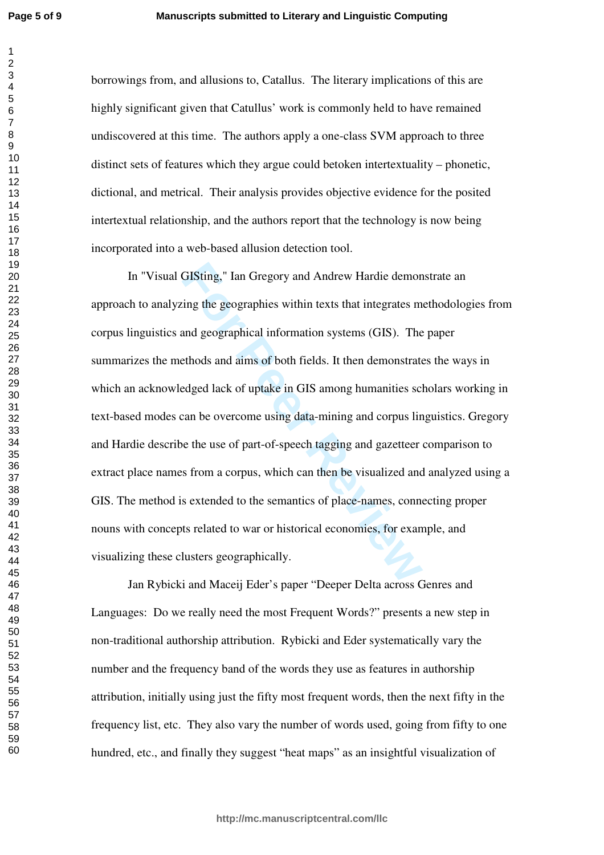$\overline{1}$  $\overline{2}$  $\overline{4}$  $\overline{7}$ 

borrowings from, and allusions to, Catallus. The literary implications of this are highly significant given that Catullus' work is commonly held to have remained undiscovered at this time. The authors apply a one-class SVM approach to three distinct sets of features which they argue could betoken intertextuality – phonetic, dictional, and metrical. Their analysis provides objective evidence for the posited intertextual relationship, and the authors report that the technology is now being incorporated into a web-based allusion detection tool.

GISting," Ian Gregory and Andrew Hardie demon<br>ing the geographies within texts that integrates m<br>and geographical information systems (GIS). The<br>ethods and aims of both fields. It then demonstrate<br>edged lack of uptake in G In "Visual GISting," Ian Gregory and Andrew Hardie demonstrate an approach to analyzing the geographies within texts that integrates methodologies from corpus linguistics and geographical information systems (GIS). The paper summarizes the methods and aims of both fields. It then demonstrates the ways in which an acknowledged lack of uptake in GIS among humanities scholars working in text-based modes can be overcome using data-mining and corpus linguistics. Gregory and Hardie describe the use of part-of-speech tagging and gazetteer comparison to extract place names from a corpus, which can then be visualized and analyzed using a GIS. The method is extended to the semantics of place-names, connecting proper nouns with concepts related to war or historical economies, for example, and visualizing these clusters geographically.

Jan Rybicki and Maceij Eder's paper "Deeper Delta across Genres and Languages: Do we really need the most Frequent Words?" presents a new step in non-traditional authorship attribution. Rybicki and Eder systematically vary the number and the frequency band of the words they use as features in authorship attribution, initially using just the fifty most frequent words, then the next fifty in the frequency list, etc. They also vary the number of words used, going from fifty to one hundred, etc., and finally they suggest "heat maps" as an insightful visualization of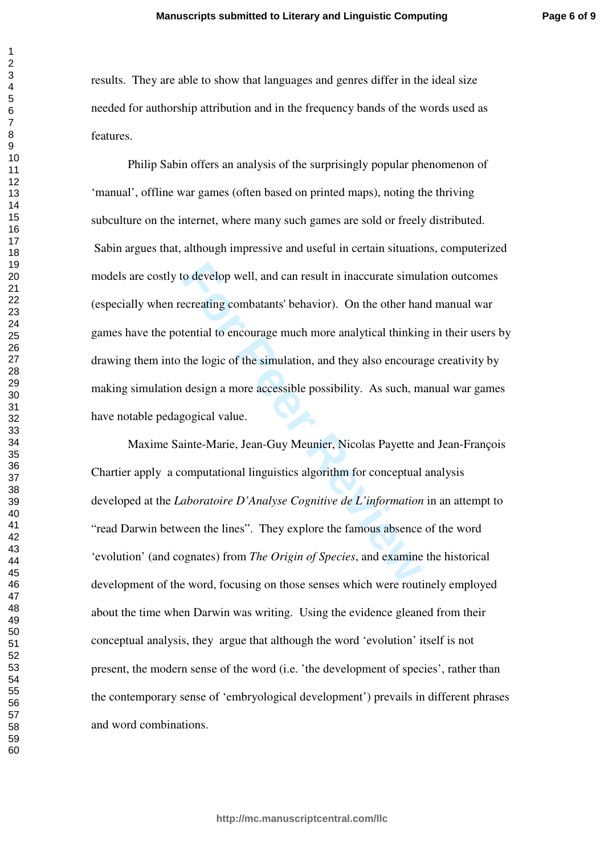results. They are able to show that languages and genres differ in the ideal size needed for authorship attribution and in the frequency bands of the words used as features.

o develop well, and can result in inaccurate simul<br>ecreating combatants' behavior). On the other hare<br>tential to encourage much more analytical thinkin<br>the logic of the simulation, and they also encoura<br>design a more acces Philip Sabin offers an analysis of the surprisingly popular phenomenon of 'manual', offline war games (often based on printed maps), noting the thriving subculture on the internet, where many such games are sold or freely distributed. Sabin argues that, although impressive and useful in certain situations, computerized models are costly to develop well, and can result in inaccurate simulation outcomes (especially when recreating combatants' behavior). On the other hand manual war games have the potential to encourage much more analytical thinking in their users by drawing them into the logic of the simulation, and they also encourage creativity by making simulation design a more accessible possibility. As such, manual war games have notable pedagogical value.

Maxime Sainte-Marie, Jean-Guy Meunier, Nicolas Payette and Jean-François Chartier apply a computational linguistics algorithm for conceptual analysis developed at the *Laboratoire D'Analyse Cognitive de L'information* in an attempt to "read Darwin between the lines". They explore the famous absence of the word 'evolution' (and cognates) from *The Origin of Species*, and examine the historical development of the word, focusing on those senses which were routinely employed about the time when Darwin was writing. Using the evidence gleaned from their conceptual analysis, they argue that although the word 'evolution' itself is not present, the modern sense of the word (i.e. 'the development of species', rather than the contemporary sense of 'embryological development') prevails in different phrases and word combinations.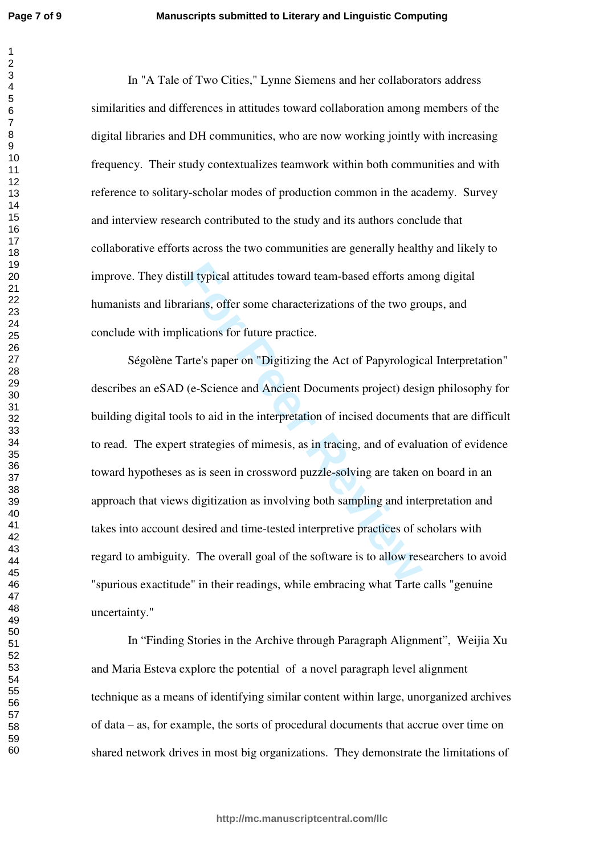$\overline{1}$ 

In "A Tale of Two Cities," Lynne Siemens and her collaborators address similarities and differences in attitudes toward collaboration among members of the digital libraries and DH communities, who are now working jointly with increasing frequency. Their study contextualizes teamwork within both communities and with reference to solitary-scholar modes of production common in the academy. Survey and interview research contributed to the study and its authors conclude that collaborative efforts across the two communities are generally healthy and likely to improve. They distill typical attitudes toward team-based efforts among digital humanists and librarians, offer some characterizations of the two groups, and conclude with implications for future practice.

ill typical attitudes toward team-based efforts am<br>arians, offer some characterizations of the two gre<br>lications for future practice.<br>Tarte's paper on "Digitizing the Act of Papyrologic<br>(e-Science and Ancient Documents pro Ségolène Tarte's paper on "Digitizing the Act of Papyrological Interpretation" describes an eSAD (e-Science and Ancient Documents project) design philosophy for building digital tools to aid in the interpretation of incised documents that are difficult to read. The expert strategies of mimesis, as in tracing, and of evaluation of evidence toward hypotheses as is seen in crossword puzzle-solving are taken on board in an approach that views digitization as involving both sampling and interpretation and takes into account desired and time-tested interpretive practices of scholars with regard to ambiguity. The overall goal of the software is to allow researchers to avoid "spurious exactitude" in their readings, while embracing what Tarte calls "genuine uncertainty."

In "Finding Stories in the Archive through Paragraph Alignment", Weijia Xu and Maria Esteva explore the potential of a novel paragraph level alignment technique as a means of identifying similar content within large, unorganized archives of data – as, for example, the sorts of procedural documents that accrue over time on shared network drives in most big organizations. They demonstrate the limitations of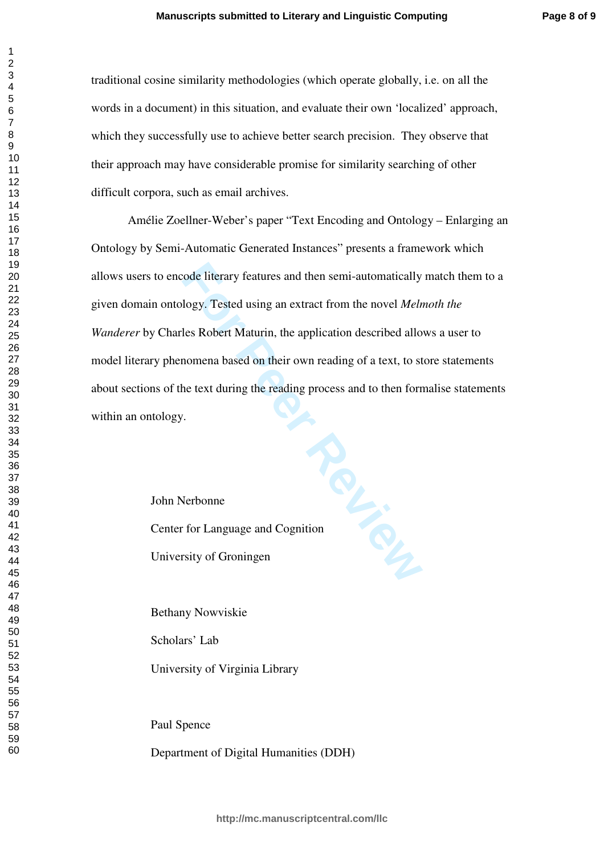traditional cosine similarity methodologies (which operate globally, i.e. on all the words in a document) in this situation, and evaluate their own 'localized' approach, which they successfully use to achieve better search precision. They observe that their approach may have considerable promise for similarity searching of other difficult corpora, such as email archives.

For Personal Heather School Eliterary features and then semi-automatically<br>
Hogy. Tested using an extract from the novel *Meln*<br>
Hes Robert Maturin, the application described allo<br>
nomena based on their own reading of a te Amélie Zoellner-Weber's paper "Text Encoding and Ontology – Enlarging an Ontology by Semi-Automatic Generated Instances" presents a framework which allows users to encode literary features and then semi-automatically match them to a given domain ontology. Tested using an extract from the novel *Melmoth the Wanderer* by Charles Robert Maturin, the application described allows a user to model literary phenomena based on their own reading of a text, to store statements about sections of the text during the reading process and to then formalise statements within an ontology.

John Nerbonne Center for Language and Cognition University of Groningen

Bethany Nowviskie

Scholars' Lab

University of Virginia Library

Paul Spence

Department of Digital Humanities (DDH)

 $\mathbf{1}$  $\overline{2}$  $\overline{4}$  $\overline{7}$